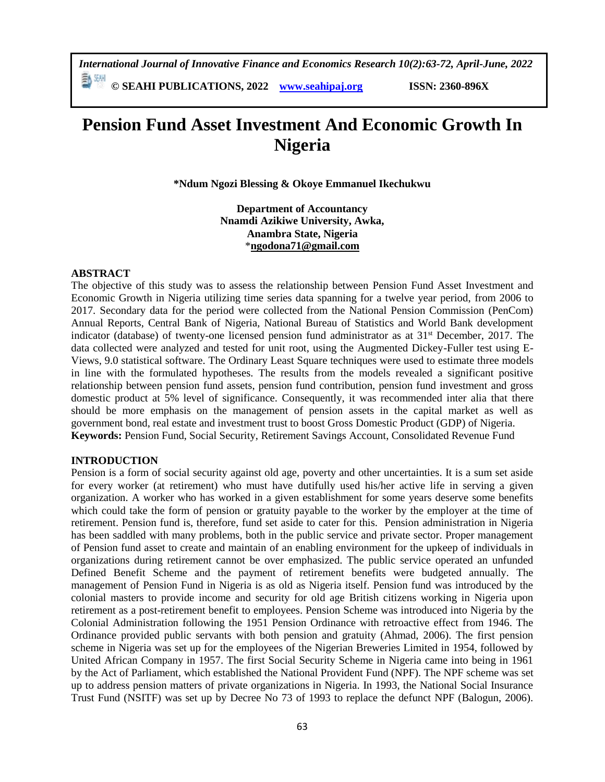*International Journal of Innovative Finance and Economics Research 10(2):63-72, April-June, 2022*

**© SEAHI PUBLICATIONS, 2022 [www.seahipaj.org](http://www.seahipaj.org/) ISSN: 2360-896X**

# **Pension Fund Asset Investment And Economic Growth In Nigeria**

**\*Ndum Ngozi Blessing & Okoye Emmanuel Ikechukwu**

**Department of Accountancy Nnamdi Azikiwe University, Awka, Anambra State, Nigeria** \***[ngodona71@gmail.com](mailto:ngodona71@gmail.com)**

## **ABSTRACT**

The objective of this study was to assess the relationship between Pension Fund Asset Investment and Economic Growth in Nigeria utilizing time series data spanning for a twelve year period, from 2006 to 2017. Secondary data for the period were collected from the National Pension Commission (PenCom) Annual Reports, Central Bank of Nigeria, National Bureau of Statistics and World Bank development indicator (database) of twenty-one licensed pension fund administrator as at  $31<sup>st</sup>$  December, 2017. The data collected were analyzed and tested for unit root, using the Augmented Dickey-Fuller test using E-Views, 9.0 statistical software. The Ordinary Least Square techniques were used to estimate three models in line with the formulated hypotheses. The results from the models revealed a significant positive relationship between pension fund assets, pension fund contribution, pension fund investment and gross domestic product at 5% level of significance. Consequently, it was recommended inter alia that there should be more emphasis on the management of pension assets in the capital market as well as government bond, real estate and investment trust to boost Gross Domestic Product (GDP) of Nigeria. **Keywords:** Pension Fund, Social Security, Retirement Savings Account, Consolidated Revenue Fund

#### **INTRODUCTION**

Pension is a form of social security against old age, poverty and other uncertainties. It is a sum set aside for every worker (at retirement) who must have dutifully used his/her active life in serving a given organization. A worker who has worked in a given establishment for some years deserve some benefits which could take the form of pension or gratuity payable to the worker by the employer at the time of retirement. Pension fund is, therefore, fund set aside to cater for this. Pension administration in Nigeria has been saddled with many problems, both in the public service and private sector. Proper management of Pension fund asset to create and maintain of an enabling environment for the upkeep of individuals in organizations during retirement cannot be over emphasized. The public service operated an unfunded Defined Benefit Scheme and the payment of retirement benefits were budgeted annually. The management of Pension Fund in Nigeria is as old as Nigeria itself. Pension fund was introduced by the colonial masters to provide income and security for old age British citizens working in Nigeria upon retirement as a post-retirement benefit to employees. Pension Scheme was introduced into Nigeria by the Colonial Administration following the 1951 Pension Ordinance with retroactive effect from 1946. The Ordinance provided public servants with both pension and gratuity (Ahmad, 2006). The first pension scheme in Nigeria was set up for the employees of the Nigerian Breweries Limited in 1954, followed by United African Company in 1957. The first Social Security Scheme in Nigeria came into being in 1961 by the Act of Parliament, which established the National Provident Fund (NPF). The NPF scheme was set up to address pension matters of private organizations in Nigeria. In 1993, the National Social Insurance Trust Fund (NSITF) was set up by Decree No 73 of 1993 to replace the defunct NPF (Balogun, 2006).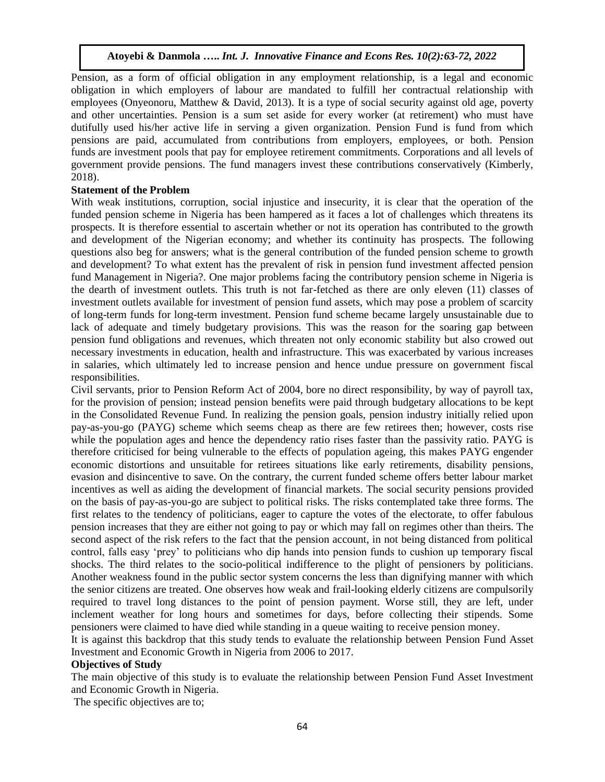Pension, as a form of official obligation in any employment relationship, is a legal and economic obligation in which employers of labour are mandated to fulfill her contractual relationship with employees (Onyeonoru, Matthew & David, 2013). It is a type of social security against old age, poverty and other uncertainties. Pension is a sum set aside for every worker (at retirement) who must have dutifully used his/her active life in serving a given organization. Pension Fund is fund from which pensions are paid, accumulated from contributions from employers, employees, or both. [Pension](http://www.thebalance.com/the-history-of-the-pension-plan-2894374)  [funds](http://www.thebalance.com/the-history-of-the-pension-plan-2894374) are investment pools that pay for employee retirement commitments. Corporations and all levels of government provide pensions. The fund managers invest these contributions conservatively (Kimberly, 2018).

# **Statement of the Problem**

With weak institutions, corruption, social injustice and insecurity, it is clear that the operation of the funded pension scheme in Nigeria has been hampered as it faces a lot of challenges which threatens its prospects. It is therefore essential to ascertain whether or not its operation has contributed to the growth and development of the Nigerian economy; and whether its continuity has prospects. The following questions also beg for answers; what is the general contribution of the funded pension scheme to growth and development? To what extent has the prevalent of risk in pension fund investment affected pension fund Management in Nigeria?. One major problems facing the contributory pension scheme in Nigeria is the dearth of investment outlets. This truth is not far-fetched as there are only eleven (11) classes of investment outlets available for investment of pension fund assets, which may pose a problem of scarcity of long-term funds for long-term investment. Pension fund scheme became largely unsustainable due to lack of adequate and timely budgetary provisions. This was the reason for the soaring gap between pension fund obligations and revenues, which threaten not only economic stability but also crowed out necessary investments in education, health and infrastructure. This was exacerbated by various increases in salaries, which ultimately led to increase pension and hence undue pressure on government fiscal responsibilities.

Civil servants, prior to Pension Reform Act of 2004, bore no direct responsibility, by way of payroll tax, for the provision of pension; instead pension benefits were paid through budgetary allocations to be kept in the Consolidated Revenue Fund. In realizing the pension goals, pension industry initially relied upon pay-as-you-go (PAYG) scheme which seems cheap as there are few retirees then; however, costs rise while the population ages and hence the dependency ratio rises faster than the passivity ratio. PAYG is therefore criticised for being vulnerable to the effects of population ageing, this makes PAYG engender economic distortions and unsuitable for retirees situations like early retirements, disability pensions, evasion and disincentive to save. On the contrary, the current funded scheme offers better labour market incentives as well as aiding the development of financial markets. The social security pensions provided on the basis of pay-as-you-go are subject to political risks. The risks contemplated take three forms. The first relates to the tendency of politicians, eager to capture the votes of the electorate, to offer fabulous pension increases that they are either not going to pay or which may fall on regimes other than theirs. The second aspect of the risk refers to the fact that the pension account, in not being distanced from political control, falls easy 'prey' to politicians who dip hands into pension funds to cushion up temporary fiscal shocks. The third relates to the socio-political indifference to the plight of pensioners by politicians. Another weakness found in the public sector system concerns the less than dignifying manner with which the senior citizens are treated. One observes how weak and frail-looking elderly citizens are compulsorily required to travel long distances to the point of pension payment. Worse still, they are left, under inclement weather for long hours and sometimes for days, before collecting their stipends. Some pensioners were claimed to have died while standing in a queue waiting to receive pension money.

It is against this backdrop that this study tends to evaluate the relationship between Pension Fund Asset Investment and Economic Growth in Nigeria from 2006 to 2017.

#### **Objectives of Study**

The main objective of this study is to evaluate the relationship between Pension Fund Asset Investment and Economic Growth in Nigeria.

The specific objectives are to;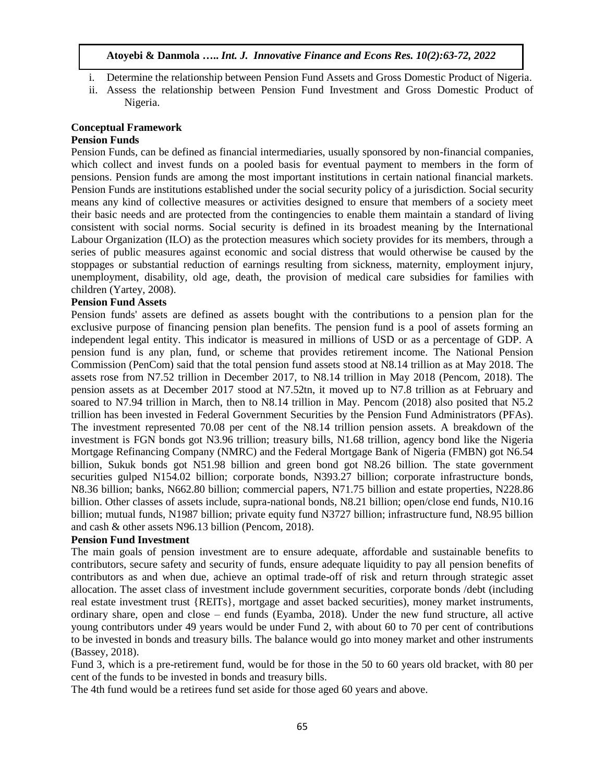- i. Determine the relationship between Pension Fund Assets and Gross Domestic Product of Nigeria.
- ii. Assess the relationship between Pension Fund Investment and Gross Domestic Product of Nigeria.

# **Conceptual Framework**

#### **Pension Funds**

Pension Funds, can be defined as financial intermediaries, usually sponsored by non-financial companies, which collect and invest funds on a pooled basis for eventual payment to members in the form of pensions. Pension funds are among the most important institutions in certain national financial markets. Pension Funds are institutions established under the social security policy of a jurisdiction. Social security means any kind of collective measures or activities designed to ensure that members of a society meet their basic needs and are protected from the contingencies to enable them maintain a standard of living consistent with social norms. Social security is defined in its broadest meaning by the International Labour Organization (ILO) as the protection measures which society provides for its members, through a series of public measures against economic and social distress that would otherwise be caused by the stoppages or substantial reduction of earnings resulting from sickness, maternity, employment injury, unemployment, disability, old age, death, the provision of medical care subsidies for families with children (Yartey, 2008).

## **Pension Fund Assets**

Pension funds' assets are defined as assets bought with the contributions to a pension plan for the exclusive purpose of financing pension plan benefits. The pension fund is a pool of assets forming an independent legal entity. This indicator is measured in millions of USD or as a percentage of GDP. A pension fund is any plan, fund, or scheme that provides retirement income. The National Pension Commission (PenCom) said that the total pension fund assets stood at N8.14 trillion as at May 2018. The assets rose from N7.52 trillion in December 2017, to N8.14 trillion in May 2018 (Pencom, 2018). The pension assets as at December 2017 stood at N7.52tn, it moved up to N7.8 trillion as at February and soared to N7.94 trillion in March, then to N8.14 trillion in May. Pencom (2018) also posited that N5.2 trillion has been invested in Federal Government Securities by the Pension Fund Administrators (PFAs). The investment represented 70.08 per cent of the N8.14 trillion pension assets. A breakdown of the investment is FGN bonds got N3.96 trillion; treasury bills, N1.68 trillion, agency bond like the Nigeria Mortgage Refinancing Company (NMRC) and the Federal Mortgage Bank of Nigeria (FMBN) got N6.54 billion, Sukuk bonds got N51.98 billion and green bond got N8.26 billion. The state government securities gulped N154.02 billion; corporate bonds, N393.27 billion; corporate infrastructure bonds, N8.36 billion; banks, N662.80 billion; commercial papers, N71.75 billion and estate properties, N228.86 billion. Other classes of assets include, supra-national bonds, N8.21 billion; open/close end funds, N10.16 billion; mutual funds, N1987 billion; private equity fund N3727 billion; infrastructure fund, N8.95 billion and cash & other assets N96.13 billion (Pencom, 2018).

## **Pension Fund Investment**

The main goals of pension investment are to ensure adequate, affordable and sustainable benefits to contributors, secure safety and security of funds, ensure adequate liquidity to pay all pension benefits of contributors as and when due, achieve an optimal trade-off of risk and return through strategic asset allocation. The asset class of investment include government securities, corporate bonds /debt (including real estate investment trust {REITs}, mortgage and asset backed securities), money market instruments, ordinary share, open and close – end funds (Eyamba, 2018). Under the new fund structure, all active young contributors under 49 years would be under Fund 2, with about 60 to 70 per cent of contributions to be invested in bonds and treasury bills. The balance would go into money market and other instruments (Bassey, 2018).

Fund 3, which is a pre-retirement fund, would be for those in the 50 to 60 years old bracket, with 80 per cent of the funds to be invested in bonds and treasury bills.

The 4th fund would be a retirees fund set aside for those aged 60 years and above.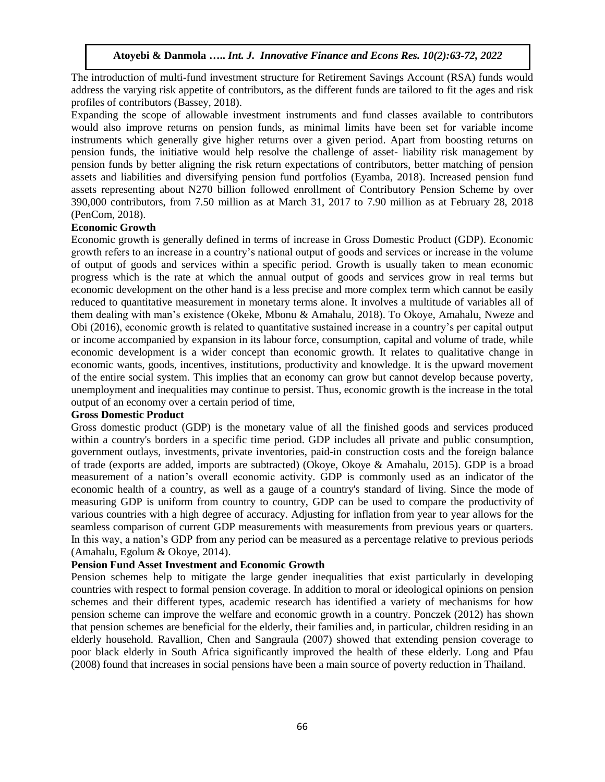The introduction of multi-fund investment structure for Retirement Savings Account (RSA) funds would address the varying risk appetite of contributors, as the different funds are tailored to fit the ages and risk profiles of contributors (Bassey, 2018).

Expanding the scope of allowable investment instruments and fund classes available to contributors would also improve returns on pension funds, as minimal limits have been set for variable income instruments which generally give higher returns over a given period. Apart from boosting returns on pension funds, the initiative would help resolve the challenge of asset- liability risk management by pension funds by better aligning the risk return expectations of contributors, better matching of pension assets and liabilities and diversifying pension fund portfolios (Eyamba, 2018). Increased pension fund assets representing about N270 billion followed enrollment of Contributory Pension Scheme by over 390,000 contributors, from 7.50 million as at March 31, 2017 to 7.90 million as at February 28, 2018 (PenCom, 2018).

## **Economic Growth**

Economic growth is generally defined in terms of increase in Gross Domestic Product (GDP). Economic growth refers to an increase in a country's national output of goods and services or increase in the volume of output of goods and services within a specific period. Growth is usually taken to mean economic progress which is the rate at which the annual output of goods and services grow in real terms but economic development on the other hand is a less precise and more complex term which cannot be easily reduced to quantitative measurement in monetary terms alone. It involves a multitude of variables all of them dealing with man's existence (Okeke, Mbonu & Amahalu, 2018). To Okoye, Amahalu, Nweze and Obi (2016), economic growth is related to quantitative sustained increase in a country's per capital output or income accompanied by expansion in its labour force, consumption, capital and volume of trade, while economic development is a wider concept than economic growth. It relates to qualitative change in economic wants, goods, incentives, institutions, productivity and knowledge. It is the upward movement of the entire social system. This implies that an economy can grow but cannot develop because poverty, unemployment and inequalities may continue to persist. Thus, economic growth is the increase in the total output of an economy over a certain period of time,

#### **Gross Domestic Product**

Gross domestic product (GDP) is the monetary value of all the finished goods and services produced within a country's borders in a specific time period. GDP includes all private and public consumption, government outlays, investments, private inventories, paid-in construction costs and the foreign [balance](https://www.investopedia.com/terms/b/bot.asp)  [of trade](https://www.investopedia.com/terms/b/bot.asp) [\(exports](https://www.investopedia.com/terms/e/export.asp) are added, [imports](https://www.investopedia.com/terms/i/import.asp) are subtracted) (Okoye, Okoye & Amahalu, 2015). GDP is a broad [measurement of a nation's overall economic activity.](http://stats.oecd.org/glossary/detail.asp?ID=1163) GDP is commonly used as an indicator of the economic health of a country, as well as a gauge of a country's [standard of living.](https://www.investopedia.com/terms/s/standard-of-living.asp) Since the mode of measuring GDP is uniform from country to country, GDP can be used to compare the [productivity](https://www.investopedia.com/terms/p/productivity.asp) of various countries with a high degree of accuracy. Adjusting for [inflation](https://www.investopedia.com/terms/i/inflation.asp) from year to year allows for the seamless comparison of current GDP measurements with measurements from previous years or quarters. In this way, a nation's GDP from any period can be measured as a percentage relative to previous periods (Amahalu, Egolum & Okoye, 2014).

## **Pension Fund Asset Investment and Economic Growth**

Pension schemes help to mitigate the large gender inequalities that exist particularly in developing countries with respect to formal pension coverage. In addition to moral or ideological opinions on pension schemes and their different types, academic research has identified a variety of mechanisms for how pension scheme can improve the welfare and economic growth in a country. Ponczek (2012) has shown that pension schemes are beneficial for the elderly, their families and, in particular, children residing in an elderly household. Ravallion, Chen and Sangraula (2007) showed that extending pension coverage to poor black elderly in South Africa significantly improved the health of these elderly. Long and Pfau (2008) found that increases in social pensions have been a main source of poverty reduction in Thailand.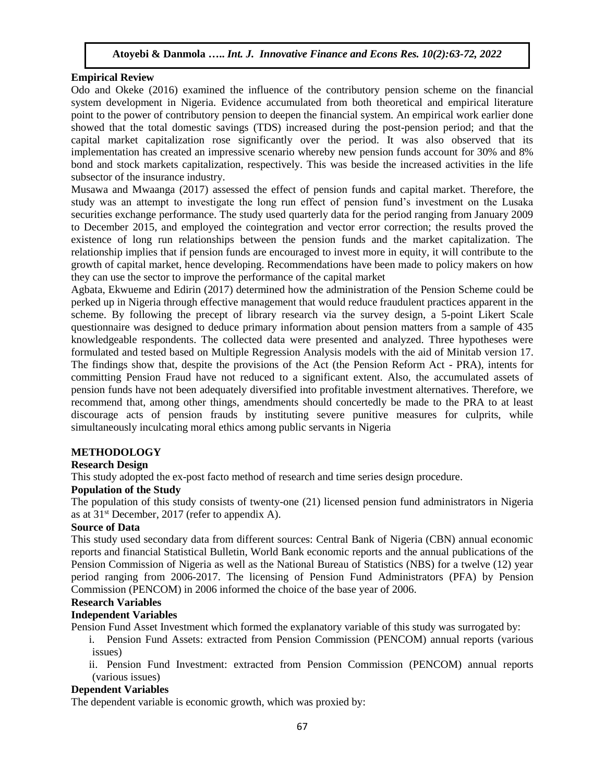## **Empirical Review**

Odo and Okeke (2016) examined the influence of the contributory pension scheme on the financial system development in Nigeria. Evidence accumulated from both theoretical and empirical literature point to the power of contributory pension to deepen the financial system. An empirical work earlier done showed that the total domestic savings (TDS) increased during the post-pension period; and that the capital market capitalization rose significantly over the period. It was also observed that its implementation has created an impressive scenario whereby new pension funds account for 30% and 8% bond and stock markets capitalization, respectively. This was beside the increased activities in the life subsector of the insurance industry.

Musawa and Mwaanga (2017) assessed the effect of pension funds and capital market. Therefore, the study was an attempt to investigate the long run effect of pension fund's investment on the Lusaka securities exchange performance. The study used quarterly data for the period ranging from January 2009 to December 2015, and employed the cointegration and vector error correction; the results proved the existence of long run relationships between the pension funds and the market capitalization. The relationship implies that if pension funds are encouraged to invest more in equity, it will contribute to the growth of capital market, hence developing. Recommendations have been made to policy makers on how they can use the sector to improve the performance of the capital market

Agbata, Ekwueme and Edirin (2017) determined how the administration of the Pension Scheme could be perked up in Nigeria through effective management that would reduce fraudulent practices apparent in the scheme. By following the precept of library research via the survey design, a 5-point Likert Scale questionnaire was designed to deduce primary information about pension matters from a sample of 435 knowledgeable respondents. The collected data were presented and analyzed. Three hypotheses were formulated and tested based on Multiple Regression Analysis models with the aid of Minitab version 17. The findings show that, despite the provisions of the Act (the Pension Reform Act - PRA), intents for committing Pension Fraud have not reduced to a significant extent. Also, the accumulated assets of pension funds have not been adequately diversified into profitable investment alternatives. Therefore, we recommend that, among other things, amendments should concertedly be made to the PRA to at least discourage acts of pension frauds by instituting severe punitive measures for culprits, while simultaneously inculcating moral ethics among public servants in Nigeria

# **METHODOLOGY**

# **Research Design**

This study adopted the ex-post facto method of research and time series design procedure.

#### **Population of the Study**

The population of this study consists of twenty-one (21) licensed pension fund administrators in Nigeria as at  $31<sup>st</sup>$  December, 2017 (refer to appendix A).

#### **Source of Data**

This study used secondary data from different sources: Central Bank of Nigeria (CBN) annual economic reports and financial Statistical Bulletin, World Bank economic reports and the annual publications of the Pension Commission of Nigeria as well as the National Bureau of Statistics (NBS) for a twelve (12) year period ranging from 2006-2017. The licensing of Pension Fund Administrators (PFA) by Pension Commission (PENCOM) in 2006 informed the choice of the base year of 2006.

# **Research Variables**

## **Independent Variables**

Pension Fund Asset Investment which formed the explanatory variable of this study was surrogated by:

i. Pension Fund Assets: extracted from Pension Commission (PENCOM) annual reports (various issues)

ii. Pension Fund Investment: extracted from Pension Commission (PENCOM) annual reports (various issues)

## **Dependent Variables**

The dependent variable is economic growth, which was proxied by: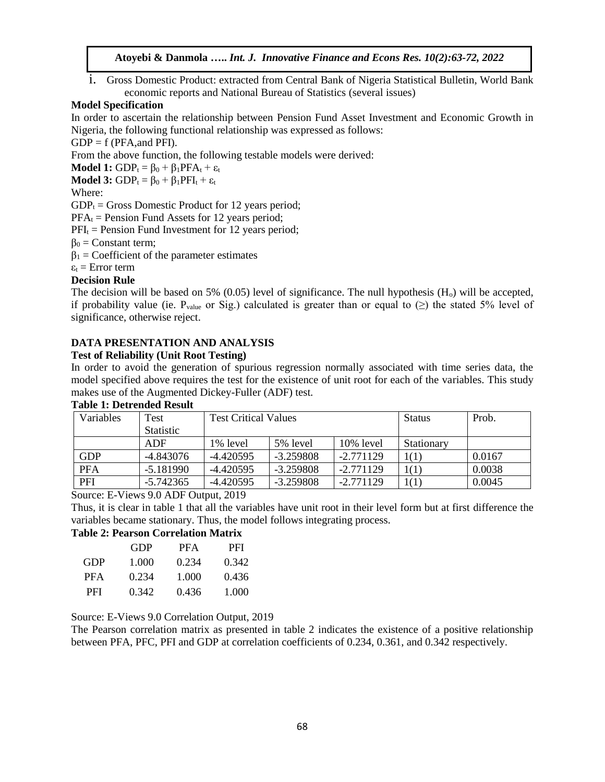i. Gross Domestic Product: extracted from Central Bank of Nigeria Statistical Bulletin, World Bank economic reports and National Bureau of Statistics (several issues)

## **Model Specification**

In order to ascertain the relationship between Pension Fund Asset Investment and Economic Growth in Nigeria, the following functional relationship was expressed as follows:

 $GDP = f (PFA, and PFI).$ 

From the above function, the following testable models were derived:

**Model 1:**  $GDP_t = \beta_0 + \beta_1 PFA_t + \varepsilon_t$ 

**Model 3:**  $GDP_t = \beta_0 + \beta_1 PFI_t + \varepsilon_t$ 

## Where:

 $GDP_t = Gross$  Domestic Product for 12 years period;

 $PFA<sub>t</sub>$  = Pension Fund Assets for 12 years period;

 $PFI_t$  = Pension Fund Investment for 12 years period;

 $β<sub>0</sub> = Constant term;$ 

 $\beta_1$  = Coefficient of the parameter estimates

 $\varepsilon_t$  = Error term

# **Decision Rule**

The decision will be based on 5% (0.05) level of significance. The null hypothesis  $(H_0)$  will be accepted, if probability value (ie.  $P_{value}$  or Sig.) calculated is greater than or equal to ( $\geq$ ) the stated 5% level of significance, otherwise reject.

# **DATA PRESENTATION AND ANALYSIS**

## **Test of Reliability (Unit Root Testing)**

In order to avoid the generation of spurious regression normally associated with time series data, the model specified above requires the test for the existence of unit root for each of the variables. This study makes use of the Augmented Dickey-Fuller (ADF) test.

| Variables  | Test             | <b>Test Critical Values</b> |             |              | <b>Status</b>     | Prob.  |
|------------|------------------|-----------------------------|-------------|--------------|-------------------|--------|
|            | <b>Statistic</b> |                             |             |              |                   |        |
|            | ADF              | 1\% level                   | 5% level    | $10\%$ level | <b>Stationary</b> |        |
| <b>GDP</b> | -4.843076        | $-4.420595$                 | $-3.259808$ | $-2.771129$  | 1(1)              | 0.0167 |
| <b>PFA</b> | $-5.181990$      | $-4.420595$                 | $-3.259808$ | $-2.771129$  | 1(1)              | 0.0038 |
| PFI        | $-5.742365$      | $-4.420595$                 | $-3.259808$ | $-2.771129$  | 1(1)              | 0.0045 |

#### **Table 1: Detrended Result**

Source: E-Views 9.0 ADF Output, 2019

Thus, it is clear in table 1 that all the variables have unit root in their level form but at first difference the variables became stationary. Thus, the model follows integrating process.

# **Table 2: Pearson Correlation Matrix**

|     | GDP   | PFA   | PFI   |
|-----|-------|-------|-------|
| GDP | 1.000 | 0.234 | 0.342 |
| PFA | 0.234 | 1.000 | 0.436 |
| PFI | 0.342 | 0.436 | 1.000 |

Source: E-Views 9.0 Correlation Output, 2019

The Pearson correlation matrix as presented in table 2 indicates the existence of a positive relationship between PFA, PFC, PFI and GDP at correlation coefficients of 0.234, 0.361, and 0.342 respectively.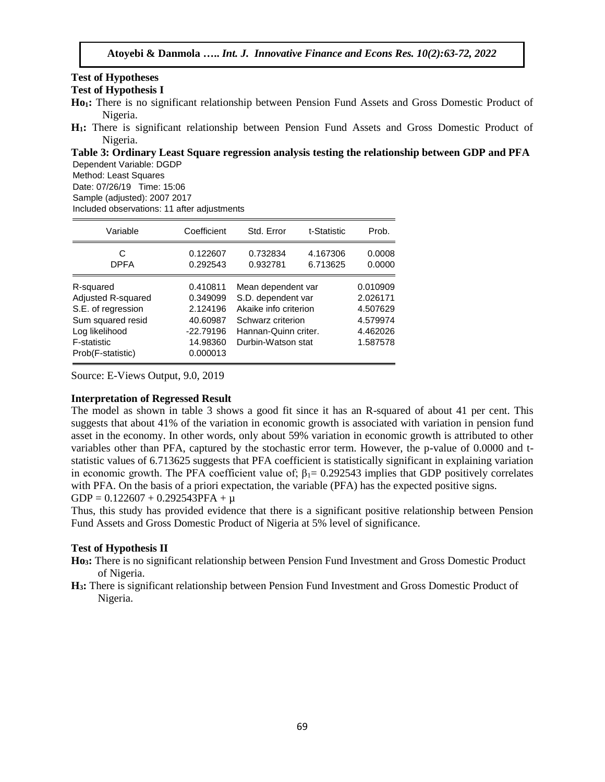#### **Test of Hypotheses Test of Hypothesis I**

- **Ho1:** There is no significant relationship between Pension Fund Assets and Gross Domestic Product of Nigeria.
- **H1:** There is significant relationship between Pension Fund Assets and Gross Domestic Product of Nigeria.

**Table 3: Ordinary Least Square regression analysis testing the relationship between GDP and PFA** Dependent Variable: DGDP

Method: Least Squares

Date: 07/26/19 Time: 15:06

Sample (adjusted): 2007 2017

Included observations: 11 after adjustments

| Variable                                                                                                                         | Coefficient                                                                         | Std. Error                                                                                                                           | t-Statistic          | Prob.                                                                |
|----------------------------------------------------------------------------------------------------------------------------------|-------------------------------------------------------------------------------------|--------------------------------------------------------------------------------------------------------------------------------------|----------------------|----------------------------------------------------------------------|
| С<br><b>DPFA</b>                                                                                                                 | 0.122607<br>0.292543                                                                | 0.732834<br>0.932781                                                                                                                 | 4.167306<br>6.713625 | 0.0008<br>0.0000                                                     |
| R-squared<br>Adjusted R-squared<br>S.E. of regression<br>Sum squared resid<br>Log likelihood<br>F-statistic<br>Prob(F-statistic) | 0.410811<br>0.349099<br>2.124196<br>40.60987<br>$-22.79196$<br>14.98360<br>0.000013 | Mean dependent var<br>S.D. dependent var<br>Akaike info criterion<br>Schwarz criterion<br>Hannan-Quinn criter.<br>Durbin-Watson stat |                      | 0.010909<br>2.026171<br>4.507629<br>4.579974<br>4.462026<br>1.587578 |

Source: E-Views Output, 9.0, 2019

#### **Interpretation of Regressed Result**

The model as shown in table 3 shows a good fit since it has an R-squared of about 41 per cent. This suggests that about 41% of the variation in economic growth is associated with variation in pension fund asset in the economy. In other words, only about 59% variation in economic growth is attributed to other variables other than PFA, captured by the stochastic error term. However, the p-value of 0.0000 and tstatistic values of 6.713625 suggests that PFA coefficient is statistically significant in explaining variation in economic growth. The PFA coefficient value of;  $\beta_1 = 0.292543$  implies that GDP positively correlates with PFA. On the basis of a priori expectation, the variable (PFA) has the expected positive signs.  $GDP = 0.122607 + 0.292543PFA + \mu$ 

Thus, this study has provided evidence that there is a significant positive relationship between Pension Fund Assets and Gross Domestic Product of Nigeria at 5% level of significance.

# **Test of Hypothesis II**

**Ho3:** There is no significant relationship between Pension Fund Investment and Gross Domestic Product of Nigeria.

**H3:** There is significant relationship between Pension Fund Investment and Gross Domestic Product of Nigeria.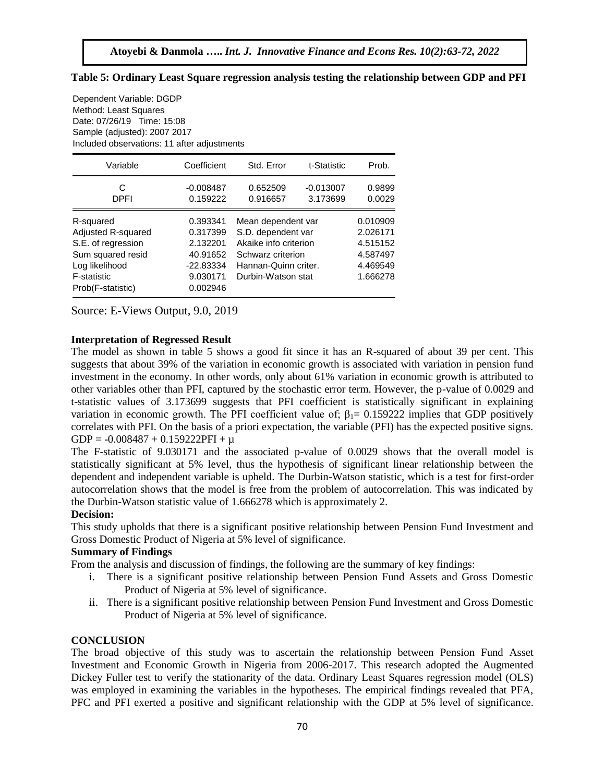| Date: 07/26/19 Time: 15:08<br>Sample (adjusted): 2007 2017<br>Included observations: 11 after adjustments                                      |                                                                                   |                                                                                                                                      |                         |                                                                      |  |  |
|------------------------------------------------------------------------------------------------------------------------------------------------|-----------------------------------------------------------------------------------|--------------------------------------------------------------------------------------------------------------------------------------|-------------------------|----------------------------------------------------------------------|--|--|
| Variable                                                                                                                                       | Coefficient                                                                       | Std. Error                                                                                                                           | t-Statistic             | Prob.                                                                |  |  |
| C<br>DPFI                                                                                                                                      | $-0.008487$<br>0.159222                                                           | 0.652509<br>0.916657                                                                                                                 | $-0.013007$<br>3.173699 | 0.9899<br>0.0029                                                     |  |  |
| R-squared<br><b>Adjusted R-squared</b><br>S.E. of regression<br>Sum squared resid<br>Log likelihood<br><b>F-statistic</b><br>Prob(F-statistic) | 0.393341<br>0.317399<br>2.132201<br>40.91652<br>-22.83334<br>9.030171<br>0.002946 | Mean dependent var<br>S.D. dependent var<br>Akaike info criterion<br>Schwarz criterion<br>Hannan-Quinn criter.<br>Durbin-Watson stat |                         | 0.010909<br>2.026171<br>4.515152<br>4.587497<br>4.469549<br>1.666278 |  |  |

**Table 5: Ordinary Least Square regression analysis testing the relationship between GDP and PFI**

Source: E-Views Output, 9.0, 2019

Dependent Variable: DGDP Method: Least Squares

#### **Interpretation of Regressed Result**

The model as shown in table 5 shows a good fit since it has an R-squared of about 39 per cent. This suggests that about 39% of the variation in economic growth is associated with variation in pension fund investment in the economy. In other words, only about 61% variation in economic growth is attributed to other variables other than PFI, captured by the stochastic error term. However, the p-value of 0.0029 and t-statistic values of 3.173699 suggests that PFI coefficient is statistically significant in explaining variation in economic growth. The PFI coefficient value of;  $\beta_1 = 0.159222$  implies that GDP positively correlates with PFI. On the basis of a priori expectation, the variable (PFI) has the expected positive signs. GDP =  $-0.008487 + 0.159222$ PFI +  $\mu$ 

The F-statistic of 9.030171 and the associated p-value of 0.0029 shows that the overall model is statistically significant at 5% level, thus the hypothesis of significant linear relationship between the dependent and independent variable is upheld. The Durbin-Watson statistic, which is a test for first-order autocorrelation shows that the model is free from the problem of autocorrelation. This was indicated by the Durbin-Watson statistic value of 1.666278 which is approximately 2.

#### **Decision:**

This study upholds that there is a significant positive relationship between Pension Fund Investment and Gross Domestic Product of Nigeria at 5% level of significance.

#### **Summary of Findings**

From the analysis and discussion of findings, the following are the summary of key findings:

- i. There is a significant positive relationship between Pension Fund Assets and Gross Domestic Product of Nigeria at 5% level of significance.
- ii. There is a significant positive relationship between Pension Fund Investment and Gross Domestic Product of Nigeria at 5% level of significance.

## **CONCLUSION**

The broad objective of this study was to ascertain the relationship between Pension Fund Asset Investment and Economic Growth in Nigeria from 2006-2017. This research adopted the Augmented Dickey Fuller test to verify the stationarity of the data. Ordinary Least Squares regression model (OLS) was employed in examining the variables in the hypotheses. The empirical findings revealed that PFA, PFC and PFI exerted a positive and significant relationship with the GDP at 5% level of significance.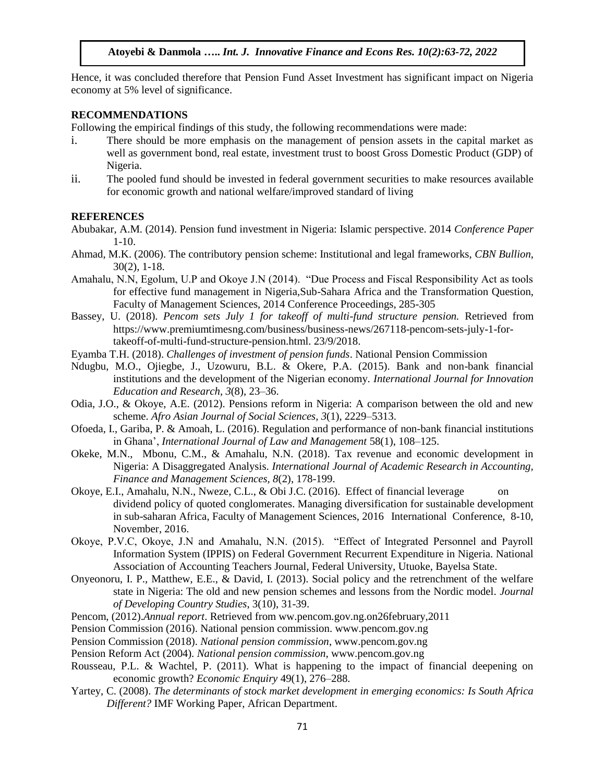Hence, it was concluded therefore that Pension Fund Asset Investment has significant impact on Nigeria economy at 5% level of significance.

#### **RECOMMENDATIONS**

Following the empirical findings of this study, the following recommendations were made:

- i. There should be more emphasis on the management of pension assets in the capital market as well as government bond, real estate, investment trust to boost Gross Domestic Product (GDP) of Nigeria.
- ii. The pooled fund should be invested in federal government securities to make resources available for economic growth and national welfare/improved standard of living

#### **REFERENCES**

- Abubakar, A.M. (2014). Pension fund investment in Nigeria: Islamic perspective. 2014 *Conference Paper*  1-10.
- Ahmad, M.K. (2006). The contributory pension scheme: Institutional and legal frameworks, *CBN Bullion*, 30(2), 1-18.
- Amahalu, N.N, Egolum, U.P and Okoye J.N (2014). "Due Process and Fiscal Responsibility Act as tools for effective fund management in Nigeria,Sub-Sahara Africa and the Transformation Question, Faculty of Management Sciences, 2014 Conference Proceedings, 285-305
- Bassey, U. (2018). *Pencom sets July 1 for takeoff of multi-fund structure pension.* Retrieved from [https://www.premiumtimesng.com/business/business-news/267118-pencom-sets-july-1-for](https://www.premiumtimesng.com/business/business-news/267118-pencom-sets-july-1-for-takeoff-of-multi-fund-structure-pension.html.%2023/9/2018)[takeoff-of-multi-fund-structure-pension.html. 23/9/2018.](https://www.premiumtimesng.com/business/business-news/267118-pencom-sets-july-1-for-takeoff-of-multi-fund-structure-pension.html.%2023/9/2018)
- Eyamba T.H. (2018). *Challenges of investment of pension funds*. National Pension Commission
- Ndugbu, M.O., Ojiegbe, J., Uzowuru, B.L. & Okere, P.A. (2015). Bank and non-bank financial institutions and the development of the Nigerian economy. *International Journal for Innovation Education and Research, 3*(8), 23–36.
- Odia, J.O., & Okoye, A.E. (2012). Pensions reform in Nigeria: A comparison between the old and new scheme. *Afro Asian Journal of Social Sciences, 3*(1), 2229–5313.
- Ofoeda, I., Gariba, P. & Amoah, L. (2016). Regulation and performance of non-bank financial institutions in Ghana', *International Journal of Law and Management* 58(1), 108–125.
- Okeke, M.N., Mbonu, C.M., & Amahalu, N.N. (2018). Tax revenue and economic development in Nigeria: A Disaggregated Analysis. *International Journal of Academic Research in Accounting, Finance and Management Sciences, 8*(2), 178-199.
- Okoye, E.I., Amahalu, N.N., Nweze, C.L., & Obi J.C. (2016). Effect of financial leverage on dividend policy of quoted conglomerates. Managing diversification for sustainable development in sub-saharan Africa, Faculty of Management Sciences, 2016 International Conference, 8-10, November, 2016.
- Okoye, P.V.C, Okoye, J.N and Amahalu, N.N. (2015). "Effect of Integrated Personnel and Payroll Information System (IPPIS) on Federal Government Recurrent Expenditure in Nigeria. National Association of Accounting Teachers Journal, Federal University, Utuoke, Bayelsa State.
- Onyeonoru, I. P., Matthew, E.E., & David, I. (2013). Social policy and the retrenchment of the welfare state in Nigeria: The old and new pension schemes and lessons from the Nordic model. *Journal of Developing Country Studies*, 3(10), 31-39.
- Pencom, (2012).*Annual report*. Retrieved from ww.pencom.gov.ng.on26february,2011
- Pension Commission (2016). National pension commission. [www.pencom.gov.ng](http://www.pencom.gov.ng/)
- Pension Commission (2018). *National pension commission*, [www.pencom.gov.ng](http://www.pencom.gov.ng/)
- Pension Reform Act (2004). *National pension commission*, [www.pencom.gov.ng](http://www.pencom.gov.ng/)
- Rousseau, P.L. & Wachtel, P. (2011). What is happening to the impact of financial deepening on economic growth? *Economic Enquiry* 49(1), 276–288.
- Yartey, C. (2008). *The determinants of stock market development in emerging economics: Is South Africa Different?* IMF Working Paper, African Department.